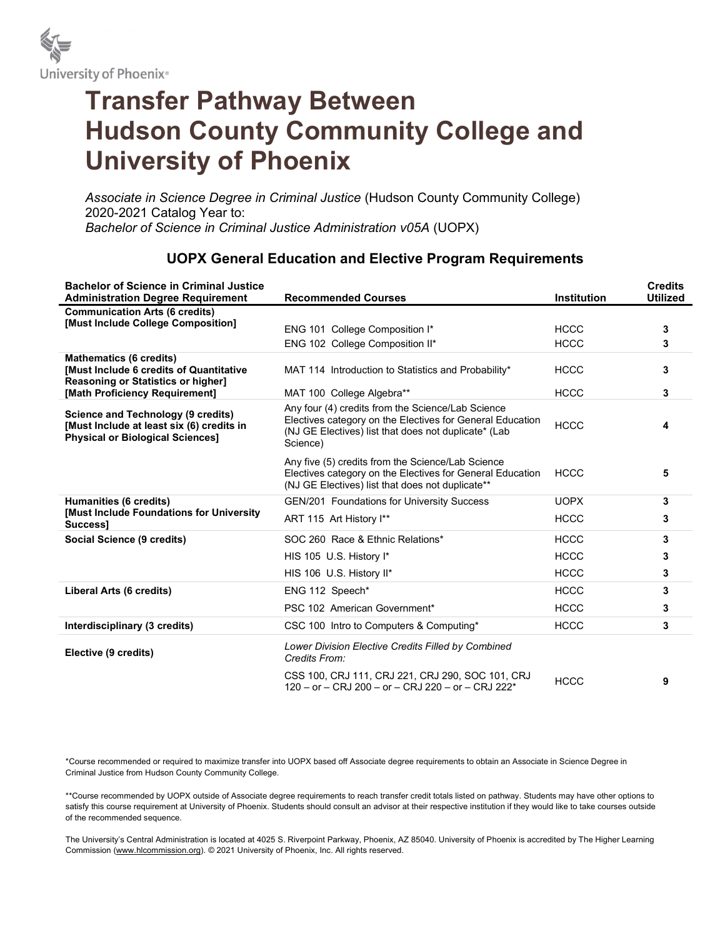

# Transfer Pathway Between Hudson County Community College and University of Phoenix

Associate in Science Degree in Criminal Justice (Hudson County Community College) 2020-2021 Catalog Year to: Bachelor of Science in Criminal Justice Administration v05A (UOPX)

#### Bachelor of Science in Criminal Justice Administration Degree Requirement Recommended Courses **Institution Credits** Utilized Communication Arts (6 credits) [Must Include College Composition] ENG 101 College Composition I\* The MCCC HCCC META 3 ENG 102 College Composition II\* The MCCC and HCCC and S Mathematics (6 credits) [Must Include 6 credits of Quantitative Reasoning or Statistics or higher] MAT 114 Introduction to Statistics and Probability\* HCCC 3 [Math Proficiency Requirement] MAT 100 College Algebra\*\* The MCCC HCCC 3 Science and Technology (9 credits) [Must Include at least six (6) credits in Physical or Biological Sciences] Any four (4) credits from the Science/Lab Science Electives category on the Electives for General Education (NJ GE Electives) list that does not duplicate\* (Lab Science) HCCC 4 Any five (5) credits from the Science/Lab Science Electives category on the Electives for General Education (NJ GE Electives) list that does not duplicate\*\* HCCC 5 **Humanities (6 credits)** GEN/201 Foundations for University Success GEORY 3 [Must Include Foundations for University number of the United States of Children Control of the Successium of the Successium of the Successium of the S<br>Successium of the Successium of the Successium of the Successium of the Successium of the Successium of the Su Social Science (9 credits) SOC 260 Race & Ethnic Relations\* The SOC 260 Race & Ethnic Relations\* The SOC 260 Race & Ethnic Relations\* HIS 105 U.S. History I\* **All and Struck and Struck 3** and HCCC **3** HIS 106 U.S. History II\* The CONTROLLEY STATE CONTROLLEY A HOCC CONTROLLEY STATES AND MELTICOLLET A STATE OF STATES AND THE STATES OF STATES AND THE STATES AND THE STATES AND THE STATES AND THE STATES AND MELTICOLLET A STA Liberal Arts (6 credits) **ENG 112 Speech\*** For the Second Structure of the Second Structure of the Second Structure of Structure of Structure of Structure of Structure of Structure of Structure of Structure of Structure of PSC 102 American Government\* The MCCC and HCCC 3 Interdisciplinary (3 credits) CSC 100 Intro to Computers & Computing\* HCCC 3 Elective (9 credits) Lower Division Elective Credits Filled by Combined Credits From: CSS 100, CRJ 111, CRJ 221, CRJ 290, SOC 101, CRJ 120 – or – CRJ 200 – or – CRJ 220 – or – CRJ 222\* HCCC <sup>9</sup>

### UOPX General Education and Elective Program Requirements

\*Course recommended or required to maximize transfer into UOPX based off Associate degree requirements to obtain an Associate in Science Degree in Criminal Justice from Hudson County Community College.

\*\*Course recommended by UOPX outside of Associate degree requirements to reach transfer credit totals listed on pathway. Students may have other options to satisfy this course requirement at University of Phoenix. Students should consult an advisor at their respective institution if they would like to take courses outside of the recommended sequence.

The University's Central Administration is located at 4025 S. Riverpoint Parkway, Phoenix, AZ 85040. University of Phoenix is accredited by The Higher Learning Commission (www.hlcommission.org). © 2021 University of Phoenix, Inc. All rights reserved.